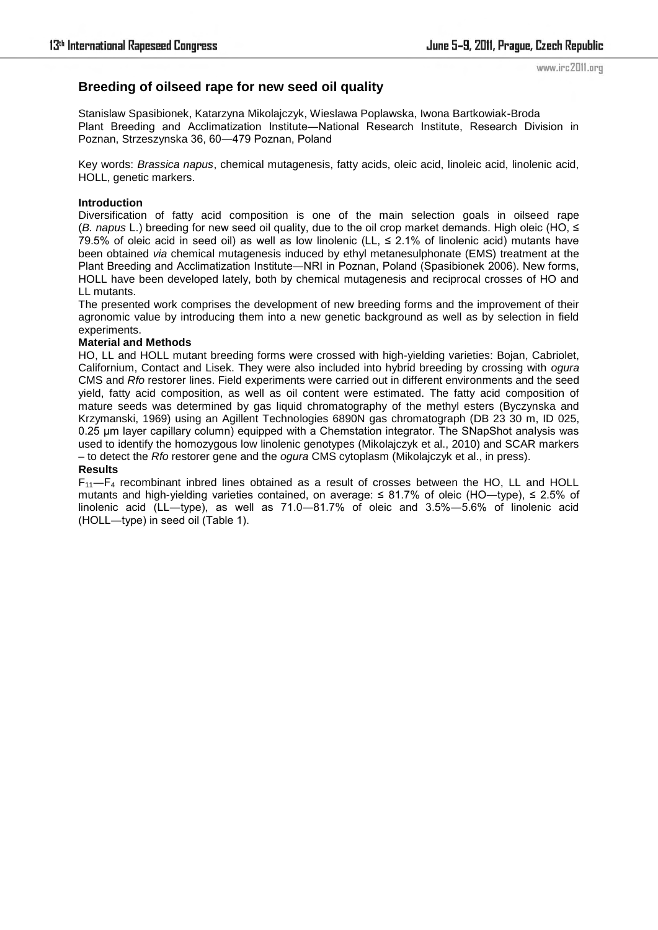## **Breeding of oilseed rape for new seed oil quality**

Stanislaw Spasibionek, Katarzyna Mikolajczyk, Wieslawa Poplawska, Iwona Bartkowiak-Broda Plant Breeding and Acclimatization Institute―National Research Institute, Research Division in Poznan, Strzeszynska 36, 60―479 Poznan, Poland

Key words: *Brassica napus*, chemical mutagenesis, fatty acids, oleic acid, linoleic acid, linolenic acid, HOLL, genetic markers.

### **Introduction**

Diversification of fatty acid composition is one of the main selection goals in oilseed rape (*B. napus* L.) breeding for new seed oil quality, due to the oil crop market demands. High oleic (HO, ≤ 79.5% of oleic acid in seed oil) as well as low linolenic (LL,  $\leq$  2.1% of linolenic acid) mutants have been obtained *via* chemical mutagenesis induced by ethyl metanesulphonate (EMS) treatment at the Plant Breeding and Acclimatization Institute―NRI in Poznan, Poland (Spasibionek 2006). New forms, HOLL have been developed lately, both by chemical mutagenesis and reciprocal crosses of HO and LL mutants.

The presented work comprises the development of new breeding forms and the improvement of their agronomic value by introducing them into a new genetic background as well as by selection in field experiments.

#### **Material and Methods**

HO, LL and HOLL mutant breeding forms were crossed with high-yielding varieties: Bojan, Cabriolet, Californium, Contact and Lisek. They were also included into hybrid breeding by crossing with *ogura* CMS and *Rfo* restorer lines. Field experiments were carried out in different environments and the seed yield, fatty acid composition, as well as oil content were estimated. The fatty acid composition of mature seeds was determined by gas liquid chromatography of the methyl esters (Byczynska and Krzymanski, 1969) using an Agillent Technologies 6890N gas chromatograph (DB 23 30 m, ID 025, 0.25 µm layer capillary column) equipped with a Chemstation integrator. The SNapShot analysis was used to identify the homozygous low linolenic genotypes (Mikolajczyk et al., 2010) and SCAR markers – to detect the *Rfo* restorer gene and the *ogura* CMS cytoplasm (Mikolajczyk et al., in press).

# **Results**

 $F_{11}$ — $F_4$  recombinant inbred lines obtained as a result of crosses between the HO, LL and HOLL mutants and high-yielding varieties contained, on average: ≤ 81.7% of oleic (HO—type), ≤ 2.5% of linolenic acid (LL―type), as well as 71.0―81.7% of oleic and 3.5%―5.6% of linolenic acid (HOLL―type) in seed oil (Table 1).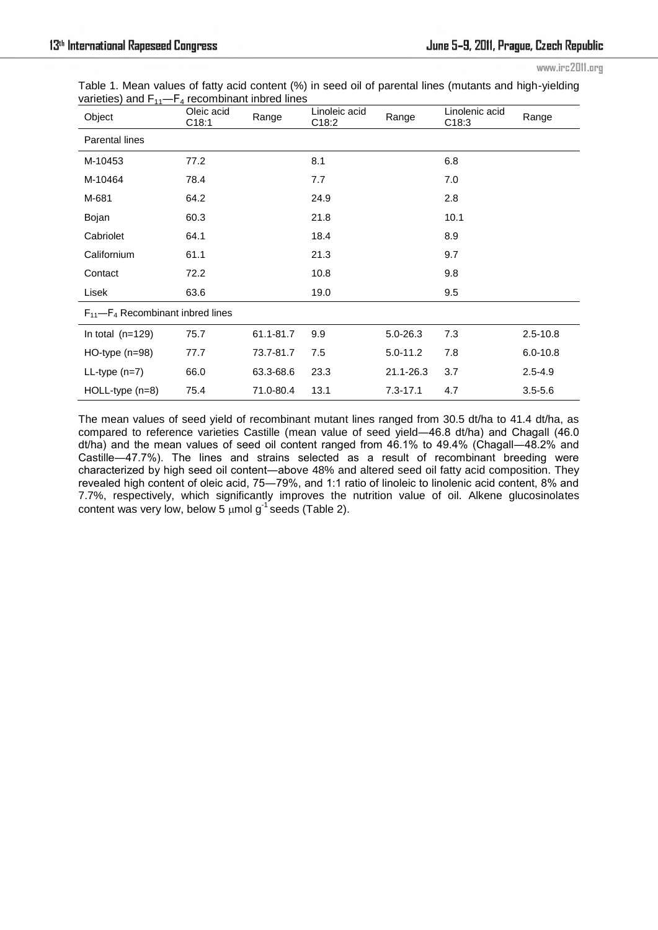|  |  |                                                          |  |  | Table 1. Mean values of fatty acid content (%) in seed oil of parental lines (mutants and high-yielding |  |  |
|--|--|----------------------------------------------------------|--|--|---------------------------------------------------------------------------------------------------------|--|--|
|  |  | varieties) and $F_{11}$ - $F_4$ recombinant inbred lines |  |  |                                                                                                         |  |  |

| Object                                    | Oleic acid<br>C18:1 | Range     | Linoleic acid<br>C18:2 | Range        | Linolenic acid<br>C18:3 | Range        |  |
|-------------------------------------------|---------------------|-----------|------------------------|--------------|-------------------------|--------------|--|
| <b>Parental lines</b>                     |                     |           |                        |              |                         |              |  |
| M-10453                                   | 77.2                |           | 8.1                    |              | 6.8                     |              |  |
| M-10464                                   | 78.4                |           | 7.7                    |              | 7.0                     |              |  |
| M-681                                     | 64.2                |           | 24.9                   |              | 2.8                     |              |  |
| Bojan                                     | 60.3                |           | 21.8                   |              | 10.1                    |              |  |
| Cabriolet                                 | 64.1                |           | 18.4                   |              | 8.9                     |              |  |
| Californium                               | 61.1                |           | 21.3                   |              | 9.7                     |              |  |
| Contact                                   | 72.2                |           | 10.8                   |              | 9.8                     |              |  |
| Lisek                                     | 63.6                |           | 19.0                   |              | 9.5                     |              |  |
| $F_{11}$ – $F_4$ Recombinant inbred lines |                     |           |                        |              |                         |              |  |
| In total $(n=129)$                        | 75.7                | 61.1-81.7 | 9.9                    | 5.0-26.3     | 7.3                     | $2.5 - 10.8$ |  |
| $HO$ -type (n=98)                         | 77.7                | 73.7-81.7 | 7.5                    | $5.0 - 11.2$ | 7.8                     | $6.0 - 10.8$ |  |
| $LL-type(n=7)$                            | 66.0                | 63.3-68.6 | 23.3                   | 21.1-26.3    | 3.7                     | $2.5 - 4.9$  |  |
| $HOLL-type (n=8)$                         | 75.4                | 71.0-80.4 | 13.1                   | $7.3 - 17.1$ | 4.7                     | $3.5 - 5.6$  |  |

The mean values of seed yield of recombinant mutant lines ranged from 30.5 dt/ha to 41.4 dt/ha, as compared to reference varieties Castille (mean value of seed yield―46.8 dt/ha) and Chagall (46.0 dt/ha) and the mean values of seed oil content ranged from 46.1% to 49.4% (Chagall―48.2% and Castille―47.7%). The lines and strains selected as a result of recombinant breeding were characterized by high seed oil content―above 48% and altered seed oil fatty acid composition. They revealed high content of oleic acid, 75―79%, and 1:1 ratio of linoleic to linolenic acid content, 8% and 7.7%, respectively, which significantly improves the nutrition value of oil. Alkene glucosinolates content was very low, below 5  $\mu$ mol g<sup>-1</sup> seeds (Table 2).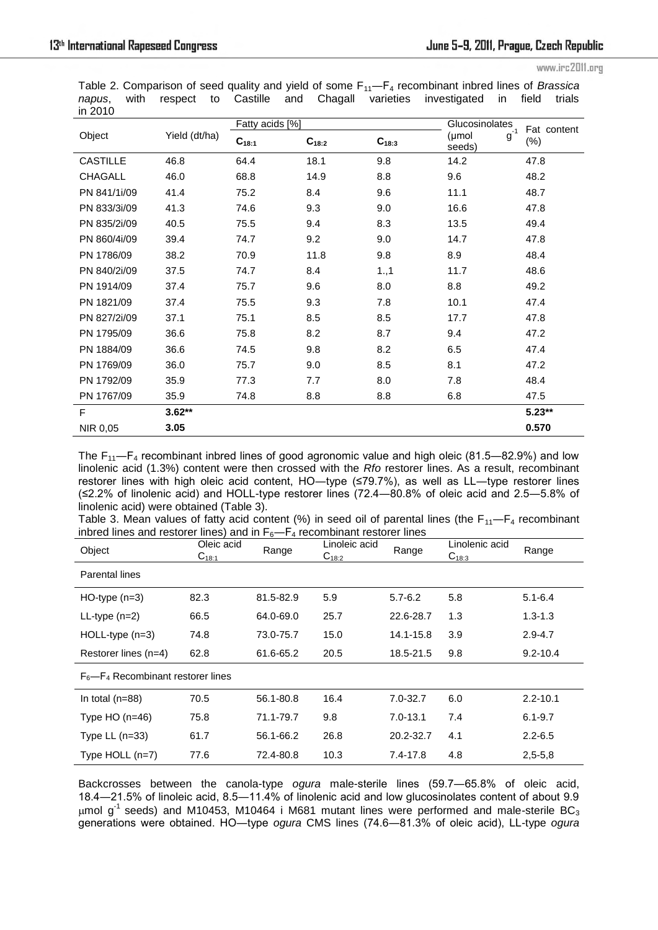Table 2. Comparison of seed quality and yield of some F<sub>11</sub>—F<sub>4</sub> recombinant inbred lines of *Brassica napus*, with respect to Castille and Chagall varieties investigated in field trials in 2010

| ᇚᆮᇰᇅ            |               | Fatty acids [%] |            | Glucosinolates | Fat content<br>$(\%)$ |          |
|-----------------|---------------|-----------------|------------|----------------|-----------------------|----------|
| Object          | Yield (dt/ha) | $C_{18:1}$      | $C_{18:2}$ |                |                       |          |
| <b>CASTILLE</b> | 46.8          | 64.4            | 18.1       | 9.8            | 14.2                  | 47.8     |
| <b>CHAGALL</b>  | 46.0          | 68.8            | 14.9       | 8.8            | 9.6                   | 48.2     |
| PN 841/1i/09    | 41.4          | 75.2            | 8.4        | 9.6            | 11.1                  | 48.7     |
| PN 833/3i/09    | 41.3          | 74.6            | 9.3        | 9.0            | 16.6                  | 47.8     |
| PN 835/2i/09    | 40.5          | 75.5            | 9.4        | 8.3            | 13.5                  | 49.4     |
| PN 860/4i/09    | 39.4          | 74.7            | 9.2        | 9.0            | 14.7                  | 47.8     |
| PN 1786/09      | 38.2          | 70.9            | 11.8       | 9.8            | 8.9                   | 48.4     |
| PN 840/2i/09    | 37.5          | 74.7            | 8.4        | 1.,1           | 11.7                  | 48.6     |
| PN 1914/09      | 37.4          | 75.7            | 9.6        | 8.0            | 8.8                   | 49.2     |
| PN 1821/09      | 37.4          | 75.5            | 9.3        | 7.8            | 10.1                  | 47.4     |
| PN 827/2i/09    | 37.1          | 75.1            | 8.5        | 8.5            | 17.7                  | 47.8     |
| PN 1795/09      | 36.6          | 75.8            | 8.2        | 8.7            | 9.4                   | 47.2     |
| PN 1884/09      | 36.6          | 74.5            | 9.8        | 8.2            | 6.5                   | 47.4     |
| PN 1769/09      | 36.0          | 75.7            | 9.0        | 8.5            | 8.1                   | 47.2     |
| PN 1792/09      | 35.9          | 77.3            | 7.7        | 8.0            | 7.8                   | 48.4     |
| PN 1767/09      | 35.9          | 74.8            | 8.8        | 8.8            | 6.8                   | 47.5     |
| F               | $3.62**$      |                 |            |                |                       | $5.23**$ |
| NIR 0,05        | 3.05          |                 |            |                |                       | 0.570    |

The  $F_{11}$ — $F_4$  recombinant inbred lines of good agronomic value and high oleic (81.5—82.9%) and low linolenic acid (1.3%) content were then crossed with the *Rfo* restorer lines. As a result, recombinant restorer lines with high oleic acid content, HO-type (≤79.7%), as well as LL-type restorer lines (≤2.2% of linolenic acid) and HOLL-type restorer lines (72.4―80.8% of oleic acid and 2.5―5.8% of linolenic acid) were obtained (Table 3).

Table 3. Mean values of fatty acid content (%) in seed oil of parental lines (the  $F_{11}-F_4$  recombinant inbred lines and restorer lines) and in  $F_6-F_4$  recombinant restorer lines

| Object                                   | Oleic acid<br>$C_{18:1}$ | Range     | Linoleic acid<br>$C_{18:2}$ | Range        | Linolenic acid<br>$C_{18:3}$ | Range        |
|------------------------------------------|--------------------------|-----------|-----------------------------|--------------|------------------------------|--------------|
| Parental lines                           |                          |           |                             |              |                              |              |
| $HO-type (n=3)$                          | 82.3                     | 81.5-82.9 | 5.9                         | $5.7 - 6.2$  | 5.8                          | $5.1 - 6.4$  |
| $LL-type(n=2)$                           | 66.5                     | 64.0-69.0 | 25.7                        | 22.6-28.7    | 1.3                          | $1.3 - 1.3$  |
| $HOLL-type (n=3)$                        | 74.8                     | 73.0-75.7 | 15.0                        | 14.1-15.8    | 3.9                          | $2.9 - 4.7$  |
| Restorer lines (n=4)                     | 62.8                     | 61.6-65.2 | 20.5                        | 18.5-21.5    | 9.8                          | $9.2 - 10.4$ |
| $F_6$ — $F_4$ Recombinant restorer lines |                          |           |                             |              |                              |              |
| In total $(n=88)$                        | 70.5                     | 56.1-80.8 | 16.4                        | $7.0 - 32.7$ | 6.0                          | $2.2 - 10.1$ |
| Type $HO(n=46)$                          | 75.8                     | 71.1-79.7 | 9.8                         | $7.0 - 13.1$ | 7.4                          | $6.1 - 9.7$  |
| Type $LL$ (n=33)                         | 61.7                     | 56.1-66.2 | 26.8                        | 20.2-32.7    | 4.1                          | $2.2 - 6.5$  |
| Type $HOLL$ (n=7)                        | 77.6                     | 72.4-80.8 | 10.3                        | 7.4-17.8     | 4.8                          | $2,5-5,8$    |

Backcrosses between the canola-type *ogura* male-sterile lines (59.7―65.8% of oleic acid, 18.4―21.5% of linoleic acid, 8.5―11.4% of linolenic acid and low glucosinolates content of about 9.9  $\mu$ mol g<sup>-1</sup> seeds) and M10453, M10464 i M681 mutant lines were performed and male-sterile BC<sub>3</sub> generations were obtained. HO―type *ogura* CMS lines (74.6―81.3% of oleic acid), LL-type *ogura*